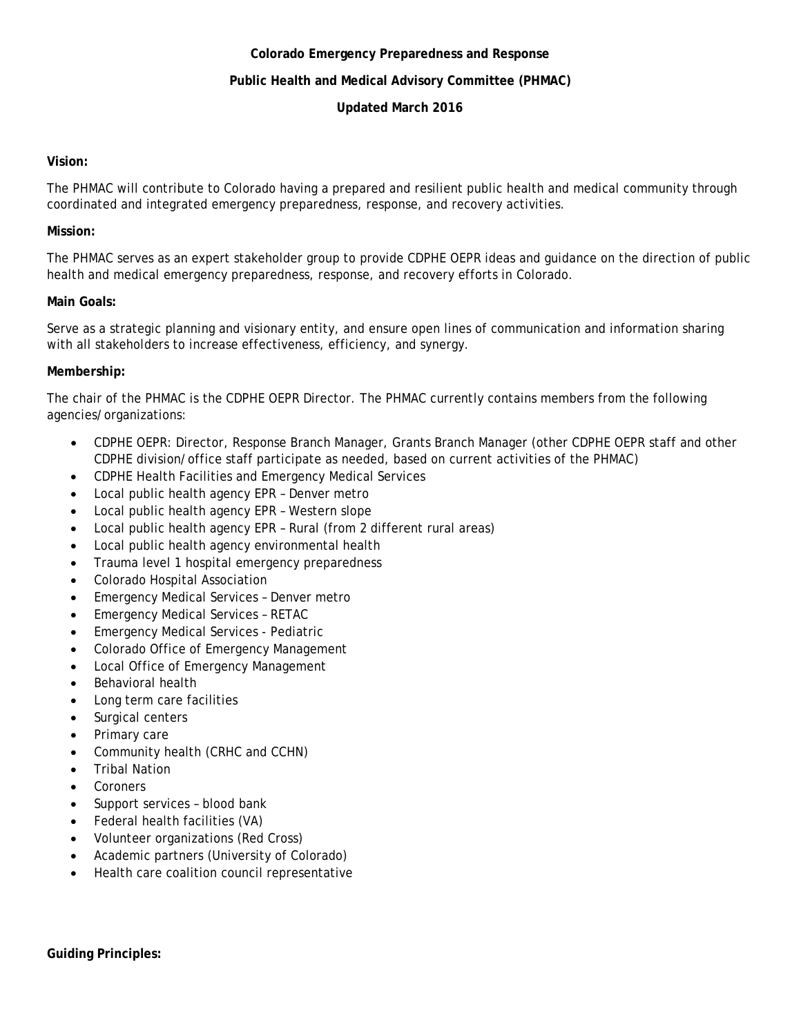### **Colorado Emergency Preparedness and Response**

## **Public Health and Medical Advisory Committee (PHMAC)**

# **Updated March 2016**

### **Vision:**

The PHMAC will contribute to Colorado having a prepared and resilient public health and medical community through coordinated and integrated emergency preparedness, response, and recovery activities.

# **Mission:**

The PHMAC serves as an expert stakeholder group to provide CDPHE OEPR ideas and guidance on the direction of public health and medical emergency preparedness, response, and recovery efforts in Colorado.

# **Main Goals:**

Serve as a strategic planning and visionary entity, and ensure open lines of communication and information sharing with all stakeholders to increase effectiveness, efficiency, and synergy.

# **Membership:**

The chair of the PHMAC is the CDPHE OEPR Director. The PHMAC currently contains members from the following agencies/organizations:

- CDPHE OEPR: Director, Response Branch Manager, Grants Branch Manager (other CDPHE OEPR staff and other CDPHE division/office staff participate as needed, based on current activities of the PHMAC)
- CDPHE Health Facilities and Emergency Medical Services
- Local public health agency EPR Denver metro
- Local public health agency EPR Western slope
- Local public health agency EPR Rural (from 2 different rural areas)
- Local public health agency environmental health
- Trauma level 1 hospital emergency preparedness
- Colorado Hospital Association
- Emergency Medical Services Denver metro
- Emergency Medical Services RETAC
- Emergency Medical Services Pediatric
- Colorado Office of Emergency Management
- Local Office of Emergency Management
- Behavioral health
- Long term care facilities
- Surgical centers
- Primary care
- Community health (CRHC and CCHN)
- **Tribal Nation**
- **Coroners**
- Support services blood bank
- Federal health facilities (VA)
- Volunteer organizations (Red Cross)
- Academic partners (University of Colorado)
- Health care coalition council representative

**Guiding Principles:**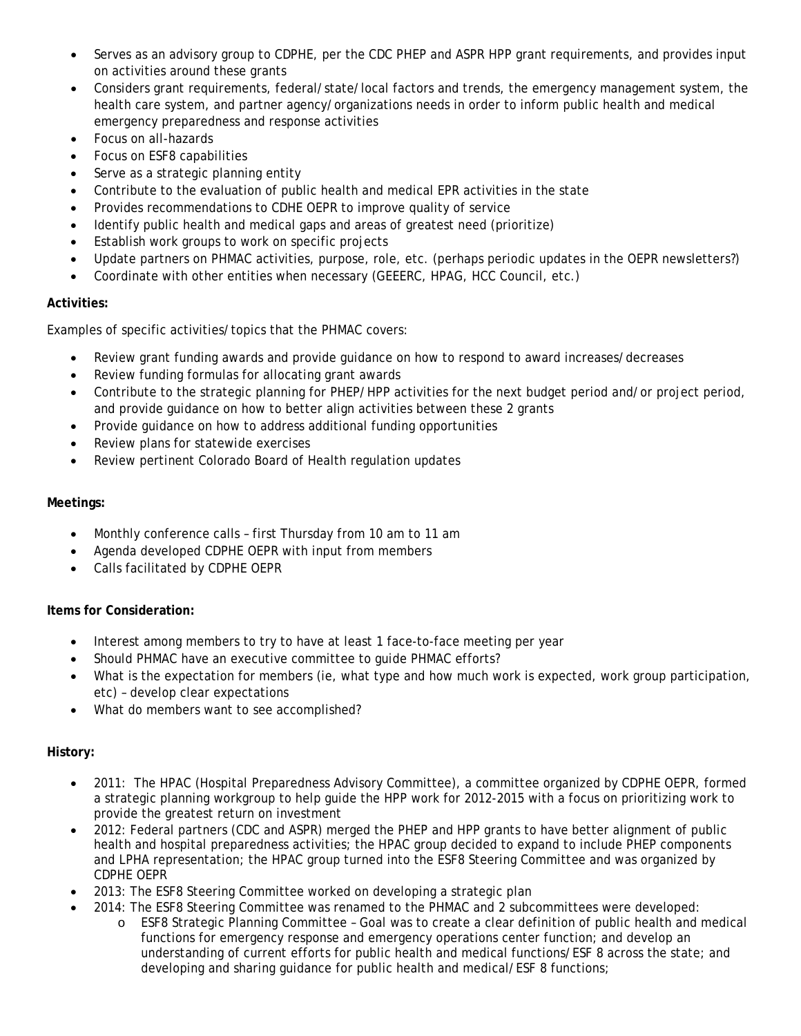- Serves as an advisory group to CDPHE, per the CDC PHEP and ASPR HPP grant requirements, and provides input on activities around these grants
- Considers grant requirements, federal/state/local factors and trends, the emergency management system, the health care system, and partner agency/organizations needs in order to inform public health and medical emergency preparedness and response activities
- Focus on all-hazards
- Focus on ESF8 capabilities
- Serve as a strategic planning entity
- Contribute to the evaluation of public health and medical EPR activities in the state
- Provides recommendations to CDHE OEPR to improve quality of service
- Identify public health and medical gaps and areas of greatest need (prioritize)
- Establish work groups to work on specific projects
- Update partners on PHMAC activities, purpose, role, etc. (perhaps periodic updates in the OEPR newsletters?)
- Coordinate with other entities when necessary (GEEERC, HPAG, HCC Council, etc.)

# **Activities:**

Examples of specific activities/topics that the PHMAC covers:

- Review grant funding awards and provide guidance on how to respond to award increases/decreases
- Review funding formulas for allocating grant awards
- Contribute to the strategic planning for PHEP/HPP activities for the next budget period and/or project period, and provide guidance on how to better align activities between these 2 grants
- Provide guidance on how to address additional funding opportunities
- Review plans for statewide exercises
- Review pertinent Colorado Board of Health regulation updates

# **Meetings:**

- Monthly conference calls first Thursday from 10 am to 11 am
- Agenda developed CDPHE OEPR with input from members
- Calls facilitated by CDPHE OEPR

#### **Items for Consideration:**

- Interest among members to try to have at least 1 face-to-face meeting per year
- Should PHMAC have an executive committee to quide PHMAC efforts?
- What is the expectation for members (ie, what type and how much work is expected, work group participation, etc) – develop clear expectations
- What do members want to see accomplished?

# **History:**

- 2011: The HPAC (Hospital Preparedness Advisory Committee), a committee organized by CDPHE OEPR, formed a strategic planning workgroup to help guide the HPP work for 2012-2015 with a focus on prioritizing work to provide the greatest return on investment
- 2012: Federal partners (CDC and ASPR) merged the PHEP and HPP grants to have better alignment of public health and hospital preparedness activities; the HPAC group decided to expand to include PHEP components and LPHA representation; the HPAC group turned into the ESF8 Steering Committee and was organized by CDPHE OEPR
- 2013: The ESF8 Steering Committee worked on developing a strategic plan
- 2014: The ESF8 Steering Committee was renamed to the PHMAC and 2 subcommittees were developed:
	- o ESF8 Strategic Planning Committee Goal was to create a clear definition of public health and medical functions for emergency response and emergency operations center function; and develop an understanding of current efforts for public health and medical functions/ESF 8 across the state; and developing and sharing guidance for public health and medical/ESF 8 functions;